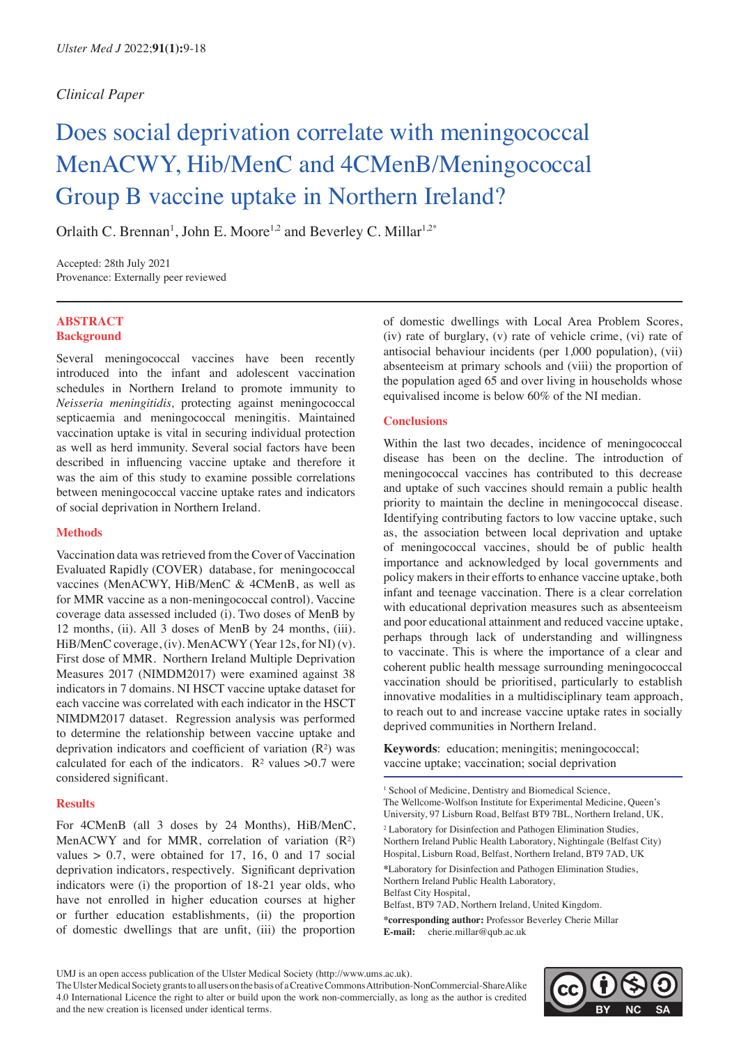### *Clinical Paper*

# Does social deprivation correlate with meningococcal MenACWY, Hib/MenC and 4CMenB/Meningococcal Group B vaccine uptake in Northern Ireland?

Orlaith C. Brennan<sup>1</sup>, John E. Moore<sup>1,2</sup> and Beverley C. Millar<sup>1,2\*</sup>

Accepted: 28th July 2021 Provenance: Externally peer reviewed

#### **ABSTRACT Background**

Several meningococcal vaccines have been recently introduced into the infant and adolescent vaccination schedules in Northern Ireland to promote immunity to *Neisseria meningitidis,* protecting against meningococcal septicaemia and meningococcal meningitis. Maintained vaccination uptake is vital in securing individual protection as well as herd immunity. Several social factors have been described in influencing vaccine uptake and therefore it was the aim of this study to examine possible correlations between meningococcal vaccine uptake rates and indicators of social deprivation in Northern Ireland.

#### **Methods**

Vaccination data was retrieved from the Cover of Vaccination Evaluated Rapidly (COVER) database, for meningococcal vaccines (MenACWY, HiB/MenC & 4CMenB, as well as for MMR vaccine as a non-meningococcal control). Vaccine coverage data assessed included (i). Two doses of MenB by 12 months, (ii). All 3 doses of MenB by 24 months, (iii). HiB/MenC coverage, (iv). MenACWY (Year 12s, for NI) (v). First dose of MMR. Northern Ireland Multiple Deprivation Measures 2017 (NIMDM2017) were examined against 38 indicators in 7 domains. NI HSCT vaccine uptake dataset for each vaccine was correlated with each indicator in the HSCT NIMDM2017 dataset. Regression analysis was performed to determine the relationship between vaccine uptake and deprivation indicators and coefficient of variation (R²) was calculated for each of the indicators.  $R^2$  values  $>0.7$  were considered significant.

#### **Results**

For 4CMenB (all 3 doses by 24 Months), HiB/MenC, MenACWY and for MMR, correlation of variation (R<sup>2</sup>) values  $> 0.7$ , were obtained for 17, 16, 0 and 17 social deprivation indicators, respectively. Significant deprivation indicators were (i) the proportion of 18-21 year olds, who have not enrolled in higher education courses at higher or further education establishments, (ii) the proportion of domestic dwellings that are unfit, (iii) the proportion

of domestic dwellings with Local Area Problem Scores, (iv) rate of burglary, (v) rate of vehicle crime, (vi) rate of antisocial behaviour incidents (per 1,000 population), (vii) absenteeism at primary schools and (viii) the proportion of the population aged 65 and over living in households whose equivalised income is below 60% of the NI median.

#### **Conclusions**

Within the last two decades, incidence of meningococcal disease has been on the decline. The introduction of meningococcal vaccines has contributed to this decrease and uptake of such vaccines should remain a public health priority to maintain the decline in meningococcal disease. Identifying contributing factors to low vaccine uptake, such as, the association between local deprivation and uptake of meningococcal vaccines, should be of public health importance and acknowledged by local governments and policy makers in their efforts to enhance vaccine uptake, both infant and teenage vaccination. There is a clear correlation with educational deprivation measures such as absenteeism and poor educational attainment and reduced vaccine uptake, perhaps through lack of understanding and willingness to vaccinate. This is where the importance of a clear and coherent public health message surrounding meningococcal vaccination should be prioritised, particularly to establish innovative modalities in a multidisciplinary team approach, to reach out to and increase vaccine uptake rates in socially deprived communities in Northern Ireland.

Keywords: education; meningitis; meningococcal; vaccine uptake; vaccination; social deprivation

<sup>1</sup> School of Medicine, Dentistry and Biomedical Science, The Wellcome-Wolfson Institute for Experimental Medicine, Queen's University, 97 Lisburn Road, Belfast BT9 7BL, Northern Ireland, UK, <sup>2</sup> Laboratory for Disinfection and Pathogen Elimination Studies, Northern Ireland Public Health Laboratory, Nightingale (Belfast City) Hospital, Lisburn Road, Belfast, Northern Ireland, BT9 7AD, UK **\***Laboratory for Disinfection and Pathogen Elimination Studies, Northern Ireland Public Health Laboratory, Belfast City Hospital, Belfast, BT9 7AD, Northern Ireland, United Kingdom.

**\*corresponding author:** Professor Beverley Cherie Millar **E-mail:** cherie.millar@qub.ac.uk



UMJ is an open access publication of the Ulster Medical Society (http://www.ums.ac.uk).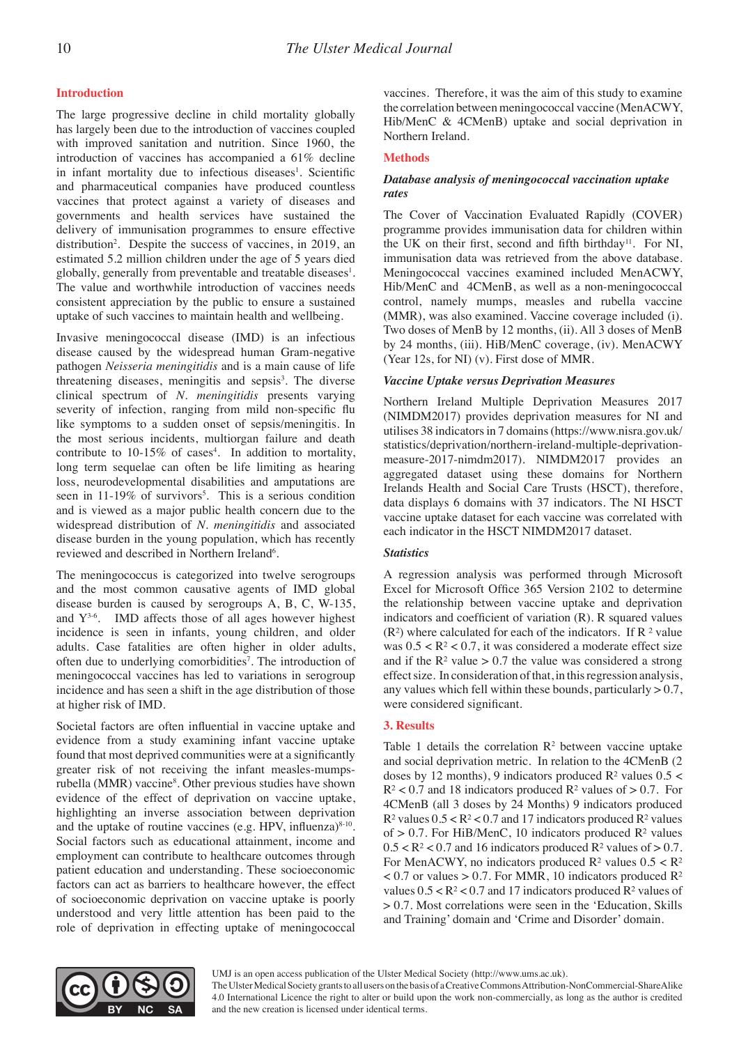#### **Introduction**

The large progressive decline in child mortality globally has largely been due to the introduction of vaccines coupled with improved sanitation and nutrition. Since 1960, the introduction of vaccines has accompanied a 61% decline in infant mortality due to infectious diseases<sup>1</sup>. Scientific and pharmaceutical companies have produced countless vaccines that protect against a variety of diseases and governments and health services have sustained the delivery of immunisation programmes to ensure effective distribution<sup>2</sup>. Despite the success of vaccines, in 2019, an estimated 5.2 million children under the age of 5 years died globally, generally from preventable and treatable diseases<sup>1</sup>. The value and worthwhile introduction of vaccines needs consistent appreciation by the public to ensure a sustained uptake of such vaccines to maintain health and wellbeing.

Invasive meningococcal disease (IMD) is an infectious disease caused by the widespread human Gram-negative pathogen *Neisseria meningitidis* and is a main cause of life threatening diseases, meningitis and sepsis<sup>3</sup>. The diverse clinical spectrum of *N. meningitidis* presents varying severity of infection, ranging from mild non-specific flu like symptoms to a sudden onset of sepsis/meningitis. In the most serious incidents, multiorgan failure and death contribute to  $10-15\%$  of cases<sup>4</sup>. In addition to mortality, long term sequelae can often be life limiting as hearing loss, neurodevelopmental disabilities and amputations are seen in  $11-19\%$  of survivors<sup>5</sup>. This is a serious condition and is viewed as a major public health concern due to the widespread distribution of *N. meningitidis* and associated disease burden in the young population, which has recently reviewed and described in Northern Ireland<sup>6</sup>.

The meningococcus is categorized into twelve serogroups and the most common causative agents of IMD global disease burden is caused by serogroups A, B, C, W-135, and  $Y^{3-6}$ . IMD affects those of all ages however highest incidence is seen in infants, young children, and older adults. Case fatalities are often higher in older adults, often due to underlying comorbidities<sup>7</sup>. The introduction of meningococcal vaccines has led to variations in serogroup incidence and has seen a shift in the age distribution of those at higher risk of IMD.

Societal factors are often influential in vaccine uptake and evidence from a study examining infant vaccine uptake found that most deprived communities were at a significantly greater risk of not receiving the infant measles-mumpsrubella (MMR) vaccine<sup>8</sup>. Other previous studies have shown evidence of the effect of deprivation on vaccine uptake, highlighting an inverse association between deprivation and the uptake of routine vaccines (e.g. HPV, influenza) $8-10$ . Social factors such as educational attainment, income and employment can contribute to healthcare outcomes through patient education and understanding. These socioeconomic factors can act as barriers to healthcare however, the effect of socioeconomic deprivation on vaccine uptake is poorly understood and very little attention has been paid to the role of deprivation in effecting uptake of meningococcal

vaccines. Therefore, it was the aim of this study to examine the correlation between meningococcal vaccine (MenACWY, Hib/MenC & 4CMenB) uptake and social deprivation in Northern Ireland.

#### **Methods**

#### *Database analysis of meningococcal vaccination uptake rates*

The Cover of Vaccination Evaluated Rapidly (COVER) programme provides immunisation data for children within the UK on their first, second and fifth birthday<sup>11</sup>. For NI, immunisation data was retrieved from the above database. Meningococcal vaccines examined included MenACWY, Hib/MenC and 4CMenB, as well as a non-meningococcal control, namely mumps, measles and rubella vaccine (MMR), was also examined. Vaccine coverage included (i). Two doses of MenB by 12 months, (ii). All 3 doses of MenB by 24 months, (iii). HiB/MenC coverage, (iv). MenACWY (Year 12s, for NI) (v). First dose of MMR.

#### *Vaccine Uptake versus Deprivation Measures*

Northern Ireland Multiple Deprivation Measures 2017 (NIMDM2017) provides deprivation measures for NI and utilises 38 indicators in 7 domains (https://www.nisra.gov.uk/ statistics/deprivation/northern-ireland-multiple-deprivationmeasure-2017-nimdm2017). NIMDM2017 provides an aggregated dataset using these domains for Northern Irelands Health and Social Care Trusts (HSCT), therefore, data displays 6 domains with 37 indicators. The NI HSCT vaccine uptake dataset for each vaccine was correlated with each indicator in the HSCT NIMDM2017 dataset.

#### *Statistics*

A regression analysis was performed through Microsoft Excel for Microsoft Office 365 Version 2102 to determine the relationship between vaccine uptake and deprivation indicators and coefficient of variation (R). R squared values  $(R<sup>2</sup>)$  where calculated for each of the indicators. If R  $<sup>2</sup>$  value</sup> was  $0.5 < R^2 < 0.7$ , it was considered a moderate effect size and if the  $R<sup>2</sup>$  value > 0.7 the value was considered a strong effect size. In consideration of that, in this regression analysis, any values which fell within these bounds, particularly  $> 0.7$ , were considered significant.

#### **3. Results**

Table 1 details the correlation  $\mathbb{R}^2$  between vaccine uptake and social deprivation metric. In relation to the 4CMenB (2 doses by 12 months), 9 indicators produced  $\mathbb{R}^2$  values  $0.5 <$  $R<sup>2</sup> < 0.7$  and 18 indicators produced  $R<sup>2</sup>$  values of  $> 0.7$ . For 4CMenB (all 3 doses by 24 Months) 9 indicators produced  $R^2$  values  $0.5 < R^2 < 0.7$  and 17 indicators produced  $R^2$  values of  $> 0.7$ . For HiB/MenC, 10 indicators produced  $\mathbb{R}^2$  values  $0.5 < R<sup>2</sup> < 0.7$  and 16 indicators produced  $R<sup>2</sup>$  values of  $> 0.7$ . For MenACWY, no indicators produced  $R^2$  values  $0.5 < R^2$  $< 0.7$  or values  $> 0.7$ . For MMR, 10 indicators produced R<sup>2</sup> values  $0.5 < R^2 < 0.7$  and 17 indicators produced  $R^2$  values of > 0.7. Most correlations were seen in the 'Education, Skills and Training' domain and 'Crime and Disorder' domain.

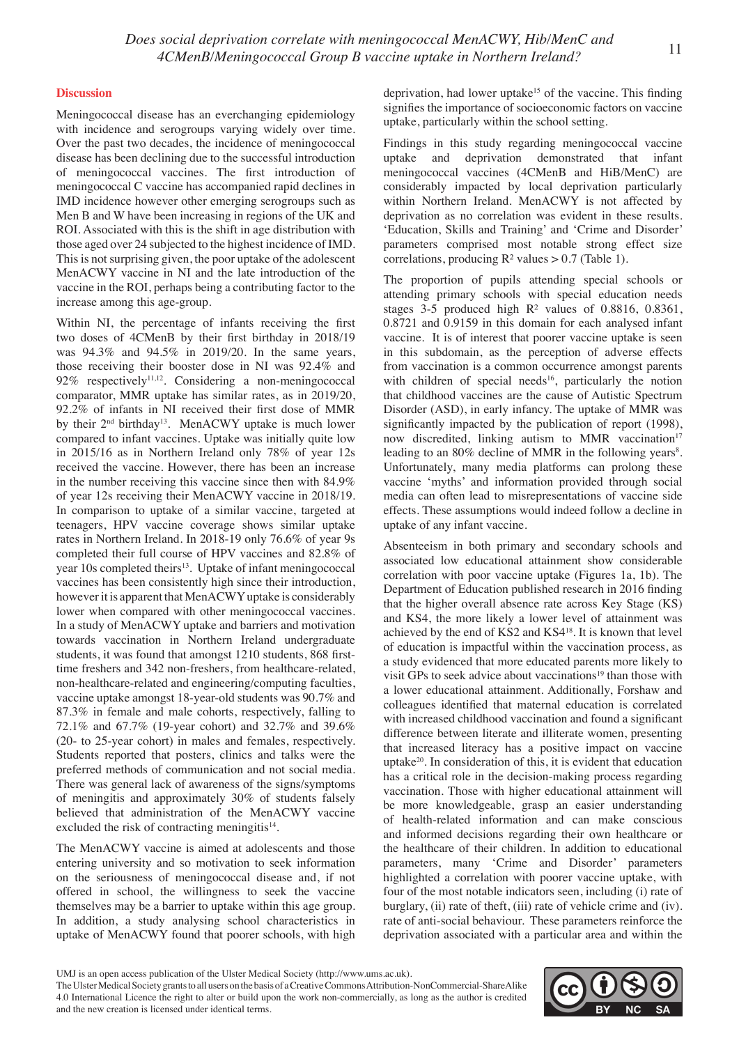#### **Discussion**

Meningococcal disease has an everchanging epidemiology with incidence and serogroups varying widely over time. Over the past two decades, the incidence of meningococcal disease has been declining due to the successful introduction of meningococcal vaccines. The first introduction of meningococcal C vaccine has accompanied rapid declines in IMD incidence however other emerging serogroups such as Men B and W have been increasing in regions of the UK and ROI. Associated with this is the shift in age distribution with those aged over 24 subjected to the highest incidence of IMD. This is not surprising given, the poor uptake of the adolescent MenACWY vaccine in NI and the late introduction of the vaccine in the ROI, perhaps being a contributing factor to the increase among this age-group.

Within NI, the percentage of infants receiving the first two doses of 4CMenB by their first birthday in 2018/19 was 94.3% and 94.5% in 2019/20. In the same years, those receiving their booster dose in NI was 92.4% and 92% respectively<sup>11,12</sup>. Considering a non-meningococcal comparator, MMR uptake has similar rates, as in 2019/20, 92.2% of infants in NI received their first dose of MMR by their  $2<sup>nd</sup>$  birthday<sup>13</sup>. MenACWY uptake is much lower compared to infant vaccines. Uptake was initially quite low in 2015/16 as in Northern Ireland only 78% of year 12s received the vaccine. However, there has been an increase in the number receiving this vaccine since then with 84.9% of year 12s receiving their MenACWY vaccine in 2018/19. In comparison to uptake of a similar vaccine, targeted at teenagers, HPV vaccine coverage shows similar uptake rates in Northern Ireland. In 2018-19 only 76.6% of year 9s completed their full course of HPV vaccines and 82.8% of year 10s completed theirs<sup>13</sup>. Uptake of infant meningococcal vaccines has been consistently high since their introduction, however it is apparent that MenACWY uptake is considerably lower when compared with other meningococcal vaccines. In a study of MenACWY uptake and barriers and motivation towards vaccination in Northern Ireland undergraduate students, it was found that amongst 1210 students, 868 firsttime freshers and 342 non-freshers, from healthcare-related, non-healthcare-related and engineering/computing faculties, vaccine uptake amongst 18-year-old students was 90.7% and 87.3% in female and male cohorts, respectively, falling to 72.1% and 67.7% (19-year cohort) and 32.7% and 39.6% (20- to 25-year cohort) in males and females, respectively. Students reported that posters, clinics and talks were the preferred methods of communication and not social media. There was general lack of awareness of the signs/symptoms of meningitis and approximately 30% of students falsely believed that administration of the MenACWY vaccine excluded the risk of contracting meningitis $14$ .

The MenACWY vaccine is aimed at adolescents and those entering university and so motivation to seek information on the seriousness of meningococcal disease and, if not offered in school, the willingness to seek the vaccine themselves may be a barrier to uptake within this age group. In addition, a study analysing school characteristics in uptake of MenACWY found that poorer schools, with high deprivation, had lower uptake<sup>15</sup> of the vaccine. This finding signifies the importance of socioeconomic factors on vaccine uptake, particularly within the school setting.

Findings in this study regarding meningococcal vaccine uptake and deprivation demonstrated that infant meningococcal vaccines (4CMenB and HiB/MenC) are considerably impacted by local deprivation particularly within Northern Ireland. MenACWY is not affected by deprivation as no correlation was evident in these results. 'Education, Skills and Training' and 'Crime and Disorder' parameters comprised most notable strong effect size correlations, producing  $R^2$  values  $> 0.7$  (Table 1).

The proportion of pupils attending special schools or attending primary schools with special education needs stages  $3-5$  produced high  $R<sup>2</sup>$  values of 0.8816, 0.8361, 0.8721 and 0.9159 in this domain for each analysed infant vaccine. It is of interest that poorer vaccine uptake is seen in this subdomain, as the perception of adverse effects from vaccination is a common occurrence amongst parents with children of special needs<sup>16</sup>, particularly the notion that childhood vaccines are the cause of Autistic Spectrum Disorder (ASD), in early infancy. The uptake of MMR was significantly impacted by the publication of report (1998), now discredited, linking autism to MMR vaccination<sup>17</sup> leading to an 80% decline of MMR in the following years<sup>8</sup>. Unfortunately, many media platforms can prolong these vaccine 'myths' and information provided through social media can often lead to misrepresentations of vaccine side effects. These assumptions would indeed follow a decline in uptake of any infant vaccine.

Absenteeism in both primary and secondary schools and associated low educational attainment show considerable correlation with poor vaccine uptake (Figures 1a, 1b). The Department of Education published research in 2016 finding that the higher overall absence rate across Key Stage (KS) and KS4, the more likely a lower level of attainment was achieved by the end of KS2 and KS418. It is known that level of education is impactful within the vaccination process, as a study evidenced that more educated parents more likely to visit GPs to seek advice about vaccinations<sup>19</sup> than those with a lower educational attainment. Additionally, Forshaw and colleagues identified that maternal education is correlated with increased childhood vaccination and found a significant difference between literate and illiterate women, presenting that increased literacy has a positive impact on vaccine uptake20. In consideration of this, it is evident that education has a critical role in the decision-making process regarding vaccination. Those with higher educational attainment will be more knowledgeable, grasp an easier understanding of health-related information and can make conscious and informed decisions regarding their own healthcare or the healthcare of their children. In addition to educational parameters, many 'Crime and Disorder' parameters highlighted a correlation with poorer vaccine uptake, with four of the most notable indicators seen, including (i) rate of burglary, (ii) rate of theft, (iii) rate of vehicle crime and (iv). rate of anti-social behaviour. These parameters reinforce the deprivation associated with a particular area and within the



UMJ is an open access publication of the Ulster Medical Society (http://www.ums.ac.uk).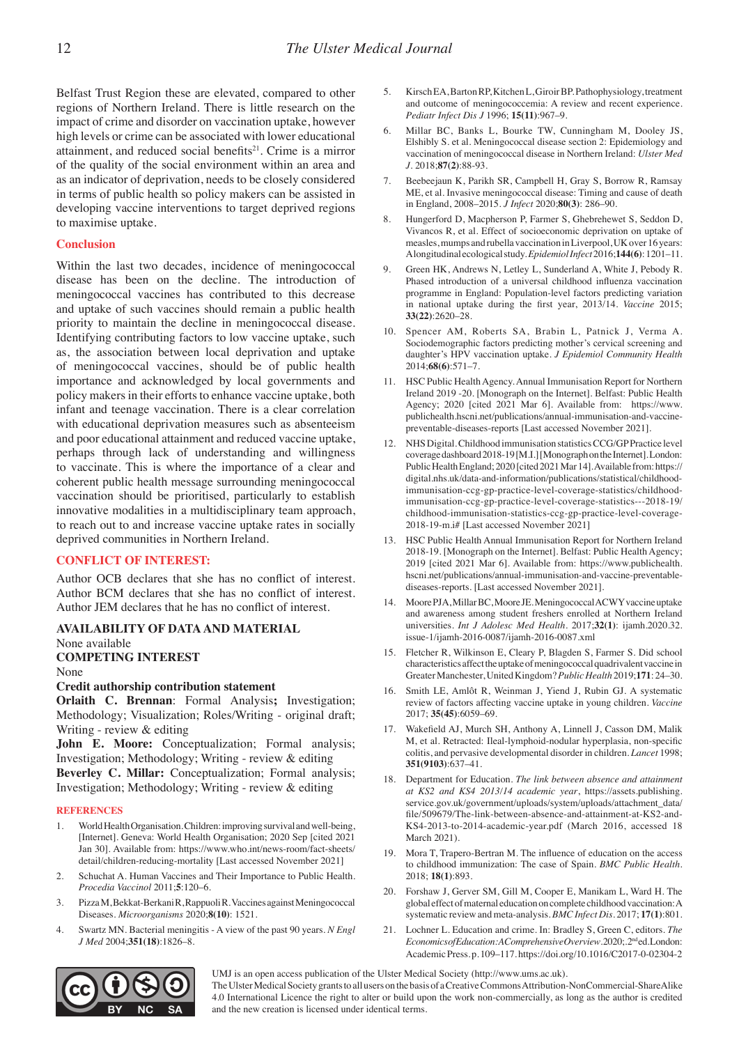Belfast Trust Region these are elevated, compared to other regions of Northern Ireland. There is little research on the impact of crime and disorder on vaccination uptake, however high levels or crime can be associated with lower educational attainment, and reduced social benefits $21$ . Crime is a mirror of the quality of the social environment within an area and as an indicator of deprivation, needs to be closely considered in terms of public health so policy makers can be assisted in developing vaccine interventions to target deprived regions to maximise uptake.

#### **Conclusion**

Within the last two decades, incidence of meningococcal disease has been on the decline. The introduction of meningococcal vaccines has contributed to this decrease and uptake of such vaccines should remain a public health priority to maintain the decline in meningococcal disease. Identifying contributing factors to low vaccine uptake, such as, the association between local deprivation and uptake of meningococcal vaccines, should be of public health importance and acknowledged by local governments and policy makers in their efforts to enhance vaccine uptake, both infant and teenage vaccination. There is a clear correlation with educational deprivation measures such as absenteeism and poor educational attainment and reduced vaccine uptake, perhaps through lack of understanding and willingness to vaccinate. This is where the importance of a clear and coherent public health message surrounding meningococcal vaccination should be prioritised, particularly to establish innovative modalities in a multidisciplinary team approach, to reach out to and increase vaccine uptake rates in socially deprived communities in Northern Ireland.

#### **CONFLICT OF INTEREST:**

Author OCB declares that she has no conflict of interest. Author BCM declares that she has no conflict of interest. Author JEM declares that he has no conflict of interest.

### **AVAILABILITY OF DATA AND MATERIAL**

None available

#### **COMPETING INTEREST**

None

#### **Credit authorship contribution statement**

**Orlaith C. Brennan**: Formal Analysis**;** Investigation; Methodology; Visualization; Roles/Writing - original draft; Writing - review & editing

**John E. Moore:** Conceptualization; Formal analysis; Investigation; Methodology; Writing - review & editing

**Beverley C. Millar:** Conceptualization; Formal analysis; Investigation; Methodology; Writing - review & editing

#### **REFERENCES**

- 1. World Health Organisation. Children: improving survival and well-being, [Internet]. Geneva: World Health Organisation; 2020 Sep [cited 2021 Jan 30]. Available from: https://www.who.int/news-room/fact-sheets/ detail/children-reducing-mortality [Last accessed November 2021]
- 2. Schuchat A. Human Vaccines and Their Importance to Public Health. *Procedia Vaccinol* 2011;**5**:120–6.
- 3. Pizza M, Bekkat-Berkani R, Rappuoli R. Vaccines against Meningococcal Diseases. *Microorganisms* 2020;**8(10)**: 1521.
- 4. Swartz MN. Bacterial meningitis A view of the past 90 years. *N Engl J Med* 2004;**351(18)**:1826–8.
- 5. Kirsch EA, Barton RP, Kitchen L, Giroir BP. Pathophysiology, treatment and outcome of meningococcemia: A review and recent experience. *Pediatr Infect Dis J* 1996; **15(11)**:967–9.
- 6. Millar BC, Banks L, Bourke TW, Cunningham M, Dooley JS, Elshibly S. et al. Meningococcal disease section 2: Epidemiology and vaccination of meningococcal disease in Northern Ireland: *Ulster Med J*. 2018;**87(2)**:88-93.
- 7. Beebeejaun K, Parikh SR, Campbell H, Gray S, Borrow R, Ramsay ME, et al. Invasive meningococcal disease: Timing and cause of death in England, 2008–2015. *J Infect* 2020;**80(3)**: 286–90.
- 8. Hungerford D, Macpherson P, Farmer S, Ghebrehewet S, Seddon D, Vivancos R, et al. Effect of socioeconomic deprivation on uptake of measles, mumps and rubella vaccination in Liverpool, UK over 16 years: A longitudinal ecological study. *Epidemiol Infect* 2016;**144(6)**: 1201–11.
- 9. Green HK, Andrews N, Letley L, Sunderland A, White J, Pebody R. Phased introduction of a universal childhood influenza vaccination programme in England: Population-level factors predicting variation in national uptake during the first year, 2013/14. *Vaccine* 2015; **33(22)**:2620–28.
- 10. Spencer AM, Roberts SA, Brabin L, Patnick J, Verma A. Sociodemographic factors predicting mother's cervical screening and daughter's HPV vaccination uptake. *J Epidemiol Community Health* 2014;**68(6)**:571–7.
- 11. HSC Public Health Agency. Annual Immunisation Report for Northern Ireland 2019 -20. [Monograph on the Internet]. Belfast: Public Health Agency; 2020 [cited 2021 Mar 6]. Available from: https://www. publichealth.hscni.net/publications/annual-immunisation-and-vaccinepreventable-diseases-reports [Last accessed November 2021].
- 12. NHS Digital. Childhood immunisation statistics CCG/GP Practice level coverage dashboard 2018-19 [M.I.] [Monograph on the Internet]. London: Public Health England; 2020 [cited 2021 Mar 14]. Available from: https:// digital.nhs.uk/data-and-information/publications/statistical/childhoodimmunisation-ccg-gp-practice-level-coverage-statistics/childhoodimmunisation-ccg-gp-practice-level-coverage-statistics---2018-19/ childhood-immunisation-statistics-ccg-gp-practice-level-coverage-2018-19-m.i# [Last accessed November 2021]
- 13. HSC Public Health Annual Immunisation Report for Northern Ireland 2018-19. [Monograph on the Internet]. Belfast: Public Health Agency; 2019 [cited 2021 Mar 6]. Available from: https://www.publichealth. hscni.net/publications/annual-immunisation-and-vaccine-preventablediseases-reports. [Last accessed November 2021].
- 14. Moore PJA, Millar BC, Moore JE. Meningococcal ACWY vaccine uptake and awareness among student freshers enrolled at Northern Ireland universities. *Int J Adolesc Med Health.* 2017;**32(1)**: ijamh.2020.32. issue-1/ijamh-2016-0087/ijamh-2016-0087.xml
- 15. Fletcher R, Wilkinson E, Cleary P, Blagden S, Farmer S. Did school characteristics affect the uptake of meningococcal quadrivalent vaccine in Greater Manchester, United Kingdom? *Public Health* 2019;**171**: 24–30.
- 16. Smith LE, Amlôt R, Weinman J, Yiend J, Rubin GJ. A systematic review of factors affecting vaccine uptake in young children. *Vaccine* 2017; **35(45)**:6059–69.
- 17. Wakefield AJ, Murch SH, Anthony A, Linnell J, Casson DM, Malik M, et al. Retracted: Ileal-lymphoid-nodular hyperplasia, non-specific colitis, and pervasive developmental disorder in children. *Lancet* 1998; **351(9103)**:637–41.
- 18. Department for Education. *The link between absence and attainment at KS2 and KS4 2013/14 academic year*, https://assets.publishing. service.gov.uk/government/uploads/system/uploads/attachment\_data/ file/509679/The-link-between-absence-and-attainment-at-KS2-and-KS4-2013-to-2014-academic-year.pdf (March 2016, accessed 18 March 2021).
- 19. Mora T, Trapero-Bertran M. The influence of education on the access to childhood immunization: The case of Spain. *BMC Public Health.* 2018; **18(1)**:893.
- 20. Forshaw J, Gerver SM, Gill M, Cooper E, Manikam L, Ward H. The global effect of maternal education on complete childhood vaccination: A systematic review and meta-analysis. *BMC Infect Dis.* 2017; **17(1)**:801.
- 21. Lochner L. Education and crime. In: Bradley S, Green C, editors. *The Economics of Education: A Comprehensive Overview*. 2020;. 2nd ed. London: Academic Press. p. 109–117. https://doi.org/10.1016/C2017-0-02304-2



UMJ is an open access publication of the Ulster Medical Society (http://www.ums.ac.uk). The Ulster Medical Society grants to all users on the basis of a Creative Commons Attribution-NonCommercial-ShareAlike 4.0 International Licence the right to alter or build upon the work non-commercially, as long as the author is credited and the new creation is licensed under identical terms.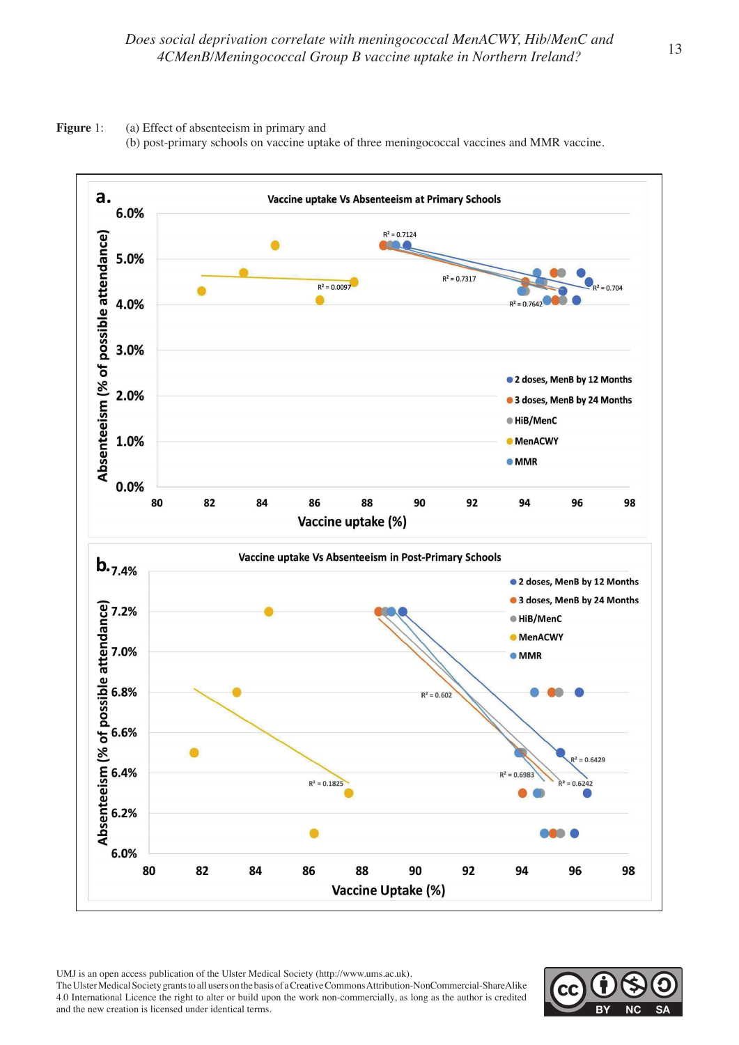



UMJ is an open access publication of the Ulster Medical Society (http://www.ums.ac.uk).

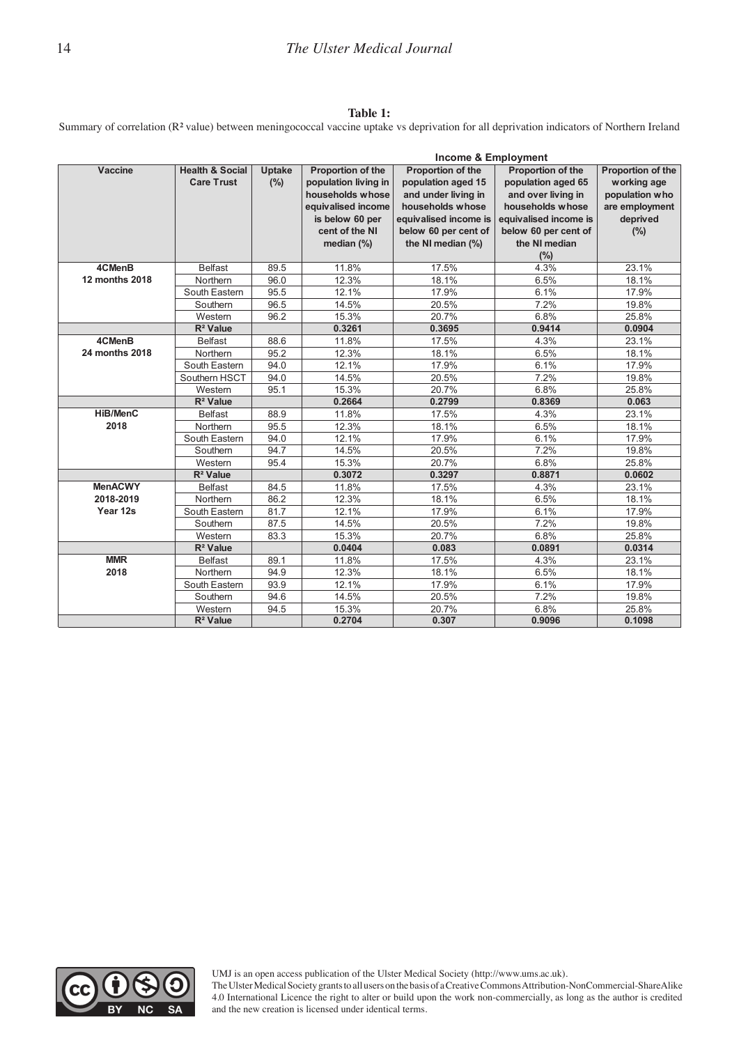#### **Table 1:**   $Table 1:$

Summary of correlation (R**²** value) between meningococcal vaccine uptake vs deprivation for all deprivation indicators of Northern Ireland

|                |                            |               |                      | <b>Income &amp; Employment</b> |                       |                   |
|----------------|----------------------------|---------------|----------------------|--------------------------------|-----------------------|-------------------|
| <b>Vaccine</b> | <b>Health &amp; Social</b> | <b>Uptake</b> | Proportion of the    | Proportion of the              | Proportion of the     | Proportion of the |
|                | <b>Care Trust</b>          | (%)           | population living in | population aged 15             | population aged 65    | working age       |
|                |                            |               | households whose     | and under living in            | and over living in    | population who    |
|                |                            |               | equivalised income   | households whose               | households whose      | are employment    |
|                |                            |               | is below 60 per      | equivalised income is          | equivalised income is | deprived          |
|                |                            |               | cent of the NI       | below 60 per cent of           | below 60 per cent of  | (%)               |
|                |                            |               | median $(\%)$        | the NI median (%)              | the NI median         |                   |
|                |                            |               |                      |                                | (%)                   |                   |
| 4CMenB         | <b>Belfast</b>             | 89.5          | 11.8%                | 17.5%                          | 4.3%                  | 23.1%             |
| 12 months 2018 | Northern                   | 96.0          | 12.3%                | 18.1%                          | 6.5%                  | 18.1%             |
|                | South Eastern              | 95.5          | 12.1%                | 17.9%                          | 6.1%                  | 17.9%             |
|                | Southern                   | 96.5          | 14.5%                | 20.5%                          | 7.2%                  | 19.8%             |
|                | Western                    | 96.2          | 15.3%                | 20.7%                          | 6.8%                  | 25.8%             |
|                | R <sup>2</sup> Value       |               | 0.3261               | 0.3695                         | 0.9414                | 0.0904            |
| 4CMenB         | <b>Belfast</b>             | 88.6          | 11.8%                | 17.5%                          | 4.3%                  | 23.1%             |
| 24 months 2018 | Northern                   | 95.2          | 12.3%                | 18.1%                          | 6.5%                  | 18.1%             |
|                | South Eastern              | 94.0          | 12.1%                | 17.9%                          | 6.1%                  | 17.9%             |
|                | Southern HSCT              | 94.0          | 14.5%                | 20.5%                          | 7.2%                  | 19.8%             |
|                | Western                    | 95.1          | 15.3%                | 20.7%                          | 6.8%                  | 25.8%             |
|                | $R^2$ Value                |               | 0.2664               | 0.2799                         | 0.8369                | 0.063             |
| HiB/MenC       | <b>Belfast</b>             | 88.9          | 11.8%                | 17.5%                          | 4.3%                  | 23.1%             |
| 2018           | Northern                   | 95.5          | 12.3%                | 18.1%                          | 6.5%                  | 18.1%             |
|                | South Eastern              | 94.0          | 12.1%                | 17.9%                          | 6.1%                  | 17.9%             |
|                | Southern                   | 94.7          | 14.5%                | 20.5%                          | 7.2%                  | 19.8%             |
|                | Western                    | 95.4          | 15.3%                | 20.7%                          | 6.8%                  | 25.8%             |
|                | $R^2$ Value                |               | 0.3072               | 0.3297                         | 0.8871                | 0.0602            |
| <b>MenACWY</b> | <b>Belfast</b>             | 84.5          | 11.8%                | 17.5%                          | 4.3%                  | 23.1%             |
| 2018-2019      | Northern                   | 86.2          | 12.3%                | 18.1%                          | 6.5%                  | 18.1%             |
| Year 12s       | South Eastern              | 81.7          | 12.1%                | 17.9%                          | 6.1%                  | 17.9%             |
|                | Southern                   | 87.5          | 14.5%                | 20.5%                          | 7.2%                  | 19.8%             |
|                | Western                    | 83.3          | 15.3%                | 20.7%                          | 6.8%                  | 25.8%             |
|                | $R^2$ Value                |               | 0.0404               | 0.083                          | 0.0891                | 0.0314            |
| <b>MMR</b>     | <b>Belfast</b>             | 89.1          | 11.8%                | 17.5%                          | 4.3%                  | 23.1%             |
| 2018           | Northern                   | 94.9          | 12.3%                | 18.1%                          | 6.5%                  | 18.1%             |
|                | South Eastern              | 93.9          | 12.1%                | 17.9%                          | 6.1%                  | 17.9%             |
|                | Southern                   | 94.6          | 14.5%                | 20.5%                          | 7.2%                  | 19.8%             |
|                | Western                    | 94.5          | 15.3%                | 20.7%                          | 6.8%                  | 25.8%             |
|                | $R^2$ Value                |               | 0.2704               | 0.307                          | 0.9096                | 0.1098            |



UMJ is an open access publication of the Ulster Medical Society (http://www.ums.ac.uk).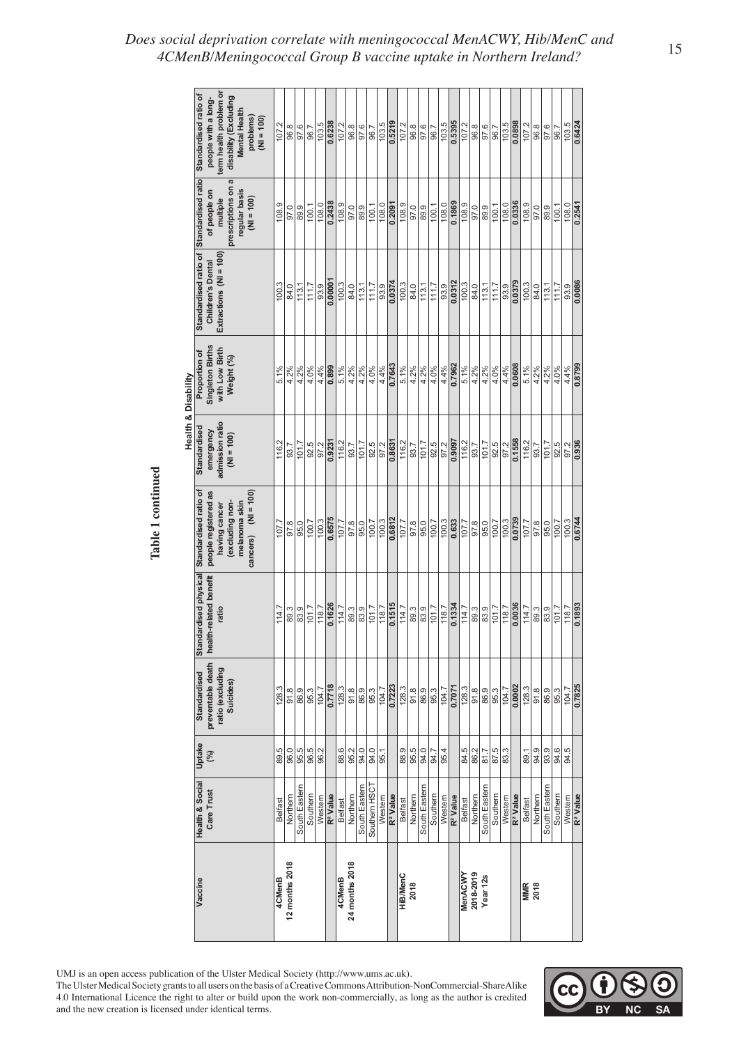|                     | term health problem or<br>Standardised ratio of<br>disability (Excluding<br>people with a long-<br>Mental Health<br>problems)<br>$(M = 100)$ | 107.2   | 96.8           | 97.6          | 96.7     | 103.5  | 0.6238               | 107.2          | 96.8           | 97.6         | 96.7          | 0.5219<br>103.5                | 107.2          | 96.8    | 97.6               | 96.7     | 103.5  | 0.5395               | 107.2          | 96.8      | 97.6          | 96.7     | 103.5  | 0.0898               | 107.2              | 96.8    | 97.6<br>96.7   | 103.5          | 0.6424                         |
|---------------------|----------------------------------------------------------------------------------------------------------------------------------------------|---------|----------------|---------------|----------|--------|----------------------|----------------|----------------|--------------|---------------|--------------------------------|----------------|---------|--------------------|----------|--------|----------------------|----------------|-----------|---------------|----------|--------|----------------------|--------------------|---------|----------------|----------------|--------------------------------|
|                     | prescriptions on a<br>regular basis<br>of people on<br>$(M = 100)$<br>multiple                                                               | 108.9   | 97.0           | 89.9          | 100.1    | 108.0  | 0.2438               | 108.9          | 97.0           | 89.9         | 100.1         | 0.2091<br>108.0                | 108.9          | 97.0    | 89.9               | 100.1    | 108.0  | 0.1869               | 108.9          | 97.0      | 89.9          | 100.1    | 108.0  | 0.0336               | 108.9              | 97.0    | 100.1<br>89.9  | 108.0          | 0.2541                         |
|                     | Standardised ratio of Standardised ratio<br>Extractions $(Nl = 100)$<br><b>Children's Dental</b>                                             | 100.3   | 84.0           | 113.1         | 711.7    | 93.9   | 0.00001              | 100.3          | 84.0           | 113.1        | 111.7         | 0.0374<br>93.9                 | 100.3          | 84.0    | 113.1              | 111.7    | 93.9   | 0.0312               | 100.3          | 84.0      | 113.1         | 111.7    | 93.9   | 0.0379               | 100.3              | 84.0    | 113.1<br>111.7 | 93.9           | 0.0086                         |
|                     | Singleton Births<br>with Low Birth<br>Proportion of<br>Weight (%)                                                                            | 5.1%    | 4.2%           | 4.2%          | 4.0%     | 4.4%   | 0.899                | 5.1%           | 4.2%           | 4.2%         | 4.0%          | 0.7643<br>4.4%                 | 5.1%           | 4.2%    | 4.2%               | 4.0%     | 4.4%   | 0.7962               | 5.1%           | 4.2%      | 4.2%          | 4.0%     | 4.4%   | 0.0608               | 5.1%               | 4.2%    | 4.0%<br>4.2%   | 4.4%           | 0.8799                         |
| Health & Disability | admission ratio<br>Standardised<br>emergency<br>$(M = 100)$                                                                                  | 116.2   | 93.7           | 101.7         | 92.5     | 97.2   | 0.9231               | 116.2          | 93.7           | 101.7        | 92.5          | $\frac{97.2}{0.8631}$          | 116.2          | 93.7    | $\frac{1017}{101}$ | 92.5     | 97.2   | 0.9097               | 116.2          | 93.7      | 101.7         | 92.5     | 97.2   | 0.1558               | 116.2              | 93.7    | 101.7          | 92.5<br>97.2   | 0.936                          |
| Table 1 continued   | cancers) $(Nl = 100)$<br>Standardised ratio of<br>people registered as<br>melanoma skin<br>excluding non-<br>having cancer                   | 107.7   | 97.8           | 95.0          | 100.7    | 100.3  | 0.6575               | 107.7          | 97.8           | 95.0         | 100.7         | 0.6812<br>100.3                | 107.7          | 97.8    | 95.0               | 100.7    | 100.3  | 0.633                | 107.7          | 97.8      | 95.0          | 100.7    | 100.3  | 0.0739               | 107.7              | 97.8    | 100.7<br>95.0  | 100.3          | 0.6744                         |
|                     | Standardised physical<br>health-related benefit<br>ratio                                                                                     | 114.7   | 89.3           | 83.9          | 101.7    | 118.7  | 0.1626               | 114.7          | 89.3           | 83.9         | 101.7         | 0.1515<br>118.7                | 114.7          | 89.3    | 83.9               | 101.7    | 118.7  | 0.1334               | 114.7          | 89.3      | 83.9          | 101.7    | 118.7  | 0.0036               | 114.7              | 89.3    | 83.9           | 101.7<br>118.7 | 0.1893                         |
|                     | preventable death<br>ratio (excluding<br><b>Standardised</b><br>Suicides)                                                                    | 128.3   | 91.8           | 86.9          | 95.3     | 104.7  | 0.7718               | 128.3          | 91.8           | 86.9         | 95.3          | 0.7223<br>104.7                | 128.3          | 91.8    | 86.9               | 95.3     | 104.7  | 0.7071               | 128.3          | 91.8      | 86.9          | 95.3     | 104.7  | 0.0002               | 128.3              | 91.8    | 86.9<br>95.3   | 104.7          | 0.7825                         |
|                     | Uptake<br>(%)                                                                                                                                | 89.5    | 96.0           | 95.5          | 96.5     | 96.2   |                      | 88.6           | 95.2           | 94.0         | 94.0          |                                | 88.9           | 95.5    | 94.0               | 94.7     | 95.4   |                      | 84.5           | 86.2      | 81.7          | 87.5     | 83.3   |                      | 89.1               | 94.9    | 93.9<br>94.6   | 84.5           |                                |
|                     | <b>Health &amp; Social</b><br>Care Trust                                                                                                     | Belfast | Northem        | South Eastern | Southern | Westem | R <sup>2</sup> Value | <b>Belfast</b> | Northem        | South Eastem | Southern HSCT | R <sup>2</sup> Value<br>Westem | <b>Belfast</b> | Northem | South Eastern      | Southern | Westem | R <sup>2</sup> Value | <b>Belfast</b> | Northem   | South Eastern | Southern | Westem | R <sup>2</sup> Value | Belfast            | Northem | South Eastern  | Southern       | Westem<br>R <sup>2</sup> Value |
|                     | Vaccine                                                                                                                                      | 4CMenB  | 12 months 2018 |               |          |        |                      | 4CMenB         | 24 months 2018 |              |               |                                | HiB/MenC       | 2018    |                    |          |        |                      | MenACWY        | 2018-2019 | Year 12s      |          |        |                      | <b>MMR</b><br>2018 |         |                |                |                                |



# *Does social deprivation correlate with meningococcal MenACWY, Hib/MenC and 4CMenB/Meningococcal Group B vaccine uptake in Northern Ireland?* <sup>15</sup>

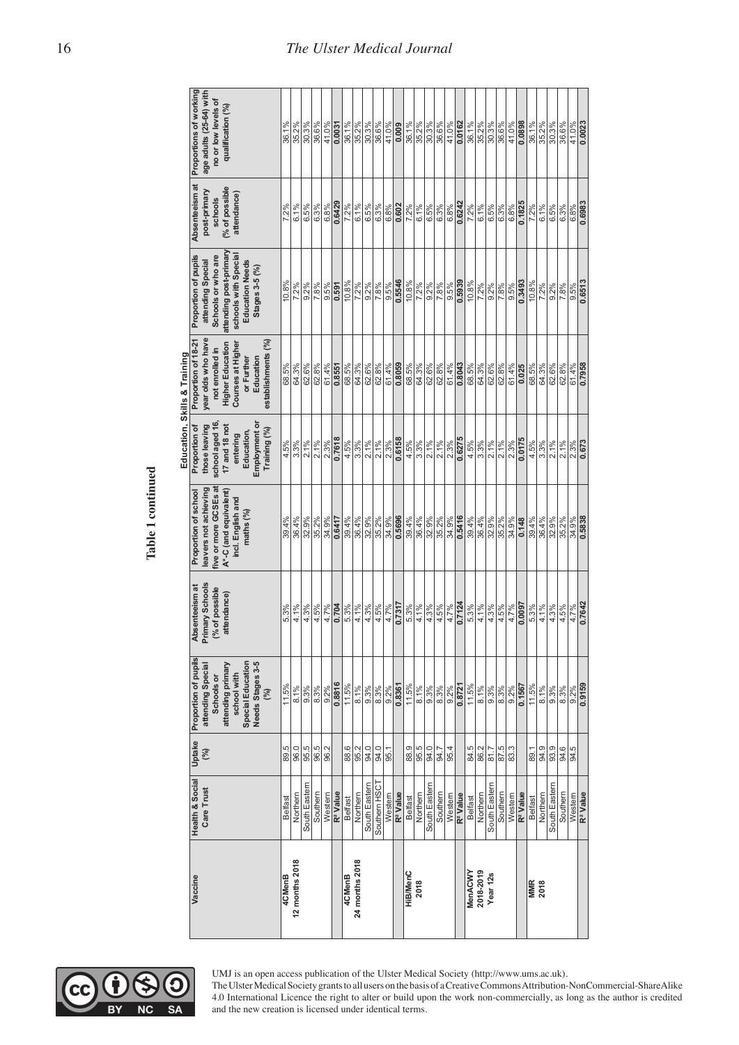|                     |                               |               |                                                                                                                                             |                                                                           |                                                                                                                                     |                                                                                                                              | Education, Skills & Training                                                                                                                                  |                                                                                                                                                               |                                                                           |                                                                                               |
|---------------------|-------------------------------|---------------|---------------------------------------------------------------------------------------------------------------------------------------------|---------------------------------------------------------------------------|-------------------------------------------------------------------------------------------------------------------------------------|------------------------------------------------------------------------------------------------------------------------------|---------------------------------------------------------------------------------------------------------------------------------------------------------------|---------------------------------------------------------------------------------------------------------------------------------------------------------------|---------------------------------------------------------------------------|-----------------------------------------------------------------------------------------------|
| Vaccine             | Health & Social<br>Care Trust | Uptake<br>(%) | Proportion of pupils<br>Needs Stages 3-5<br>Special Education<br>attending Special<br>attending primary<br>school with<br>Schools or<br>(%) | <b>Primary Schools</b><br>Absenteeism at<br>(% of possible<br>attendance) | five or more GCSEs at<br>leavers not achieving<br>Proportion of school<br>A*-C (and equivalent)<br>incl. English and<br>maths $(%)$ | school aged 16<br>Employment or<br>those leaving<br>Proportion of<br>17 and 18 not<br>Training (%)<br>Education,<br>entering | year olds who have<br>Proportion of 18-21<br>establishments (%)<br><b>Higher Education</b><br>Courses at Higher<br>not enrolled in<br>Education<br>or Further | attending post-primary<br>schools with Special<br>Proportion of pupils<br>Schools or who are<br><b>Education Needs</b><br>attending Special<br>Stages 3-5 (%) | Absenteeism at<br>% of possible<br>post-primary<br>attendance)<br>schools | Proportions of working<br>age adults (25-64) with<br>no or low levels of<br>qualification (%) |
| 4CMenB              | <b>Belfast</b>                | 89.5          | 11.5%                                                                                                                                       | 5.3%                                                                      | 39.4%                                                                                                                               | 4.5%                                                                                                                         | 68.5%                                                                                                                                                         | 10.8%                                                                                                                                                         | 7.2%                                                                      | 36.1%                                                                                         |
| 12 months 2018      | Northern                      | 96.0          | 8.1%                                                                                                                                        | 4.1%                                                                      | 36.4%                                                                                                                               | 3.3%                                                                                                                         | 64.3%                                                                                                                                                         | 7.2%                                                                                                                                                          | 6.1%                                                                      | 35.2%                                                                                         |
|                     | South Eastern                 | 95.5          | 9.3%                                                                                                                                        | 4.3%                                                                      | 32.9%                                                                                                                               | $2.1\%$                                                                                                                      | 62.6%                                                                                                                                                         | 9.2%                                                                                                                                                          | 6.5%                                                                      | 30.3%                                                                                         |
|                     | Southern                      | 96.5          | 8.3%                                                                                                                                        | 4.5%                                                                      | 35.2%                                                                                                                               | 2.1%                                                                                                                         | 62.8%                                                                                                                                                         | 7.8%                                                                                                                                                          | 6.3%                                                                      | 36.6%                                                                                         |
|                     | Westem                        | 96.2          | 9.2%                                                                                                                                        | 4.7%                                                                      | 34.9%                                                                                                                               | 2.3%                                                                                                                         | 61.4%                                                                                                                                                         | 9.5%                                                                                                                                                          | 6.8%                                                                      | 41.0%                                                                                         |
|                     | R <sup>2</sup> Value          |               | 0.8816                                                                                                                                      | 0.704                                                                     | 0.6417                                                                                                                              | 0.7618                                                                                                                       | 0.8551                                                                                                                                                        | 0.591                                                                                                                                                         | 0.6429                                                                    | 0.0031                                                                                        |
| 4CMenB              | Belfast                       | 88.6          | 11.5%                                                                                                                                       | 5.3%                                                                      | 39.4%                                                                                                                               | 4.5%                                                                                                                         | 68.5%                                                                                                                                                         | 10.8%                                                                                                                                                         | 7.2%                                                                      | 36.1%                                                                                         |
| 24 months 2018      | Northern                      | 95.2          | 8.1%                                                                                                                                        | 4.1%                                                                      | 36.4%                                                                                                                               | 3.3%                                                                                                                         | 64.3%                                                                                                                                                         | $7.2\%$                                                                                                                                                       | 6.1%                                                                      | 35.2%                                                                                         |
|                     | South Eastem                  | 94.0          | 9.3%                                                                                                                                        | 4.3%                                                                      | 32.9%                                                                                                                               | 2.1%                                                                                                                         | 62.6%                                                                                                                                                         | 9.2%                                                                                                                                                          | 6.5%                                                                      | 30.3%                                                                                         |
|                     | Southern HSCT                 | 94.0          | 8.3%                                                                                                                                        | 4.5%                                                                      | 35.2%                                                                                                                               | 2.1%                                                                                                                         | 62.8%                                                                                                                                                         | 7.8%                                                                                                                                                          | 6.3%                                                                      | 36.6%                                                                                         |
|                     | Western                       | 95.1          | 9.2%                                                                                                                                        | 4.7%                                                                      | 34.9%                                                                                                                               | 2.3%                                                                                                                         | 61.4%                                                                                                                                                         | 9.5%                                                                                                                                                          | 6.8%                                                                      | 41.0%                                                                                         |
|                     | R <sup>2</sup> Value          |               | 0.8361                                                                                                                                      | 0.7317                                                                    | 0.5696                                                                                                                              | 0.6158                                                                                                                       | 0.8059                                                                                                                                                        | 0.5546                                                                                                                                                        | 0.602                                                                     | 0.009                                                                                         |
| <b>HiB/MenC</b>     | <b>Belfast</b>                | 88.9          | 11.5%                                                                                                                                       | 5.3%                                                                      | 39.4%                                                                                                                               | 4.5%                                                                                                                         | 68.5%                                                                                                                                                         | 10.8%                                                                                                                                                         | 7.2%                                                                      | 36.1%                                                                                         |
| 2018                | Northern                      | 95.5          | 8.1%                                                                                                                                        | 4.1%                                                                      | 36.4%                                                                                                                               | 3.3%                                                                                                                         | 64.3%                                                                                                                                                         | 7.2%                                                                                                                                                          | 6.1%                                                                      | 35.2%                                                                                         |
|                     | South Eastern                 | 94.0          | 9.3%                                                                                                                                        | 4.3%                                                                      | 32.9%                                                                                                                               | 2.1%                                                                                                                         | 62.6%                                                                                                                                                         | 9.2%                                                                                                                                                          | 6.5%                                                                      | 30.3%                                                                                         |
|                     | Southem                       | 94.7          | 8.3%                                                                                                                                        | 4.5%                                                                      | 35.2%                                                                                                                               | 2.1%                                                                                                                         | 62.8%                                                                                                                                                         | 7.8%                                                                                                                                                          | 6.3%                                                                      | 36.6%                                                                                         |
|                     | Western                       | 95.4          | 9.2%                                                                                                                                        | 4.7%                                                                      | 34.9%                                                                                                                               | 2.3%                                                                                                                         | 61.4%                                                                                                                                                         | 9.5%                                                                                                                                                          | 6.8%                                                                      | 41.0%                                                                                         |
|                     | R <sup>2</sup> Value          |               | 0.8721                                                                                                                                      | 0.7124                                                                    | 0.5416                                                                                                                              | 0.6275                                                                                                                       | 0.8043                                                                                                                                                        | 0.5939                                                                                                                                                        | 0.6242                                                                    | 0.0162                                                                                        |
| MenACWY             | <b>Belfast</b>                | 84.5          | 11.5%                                                                                                                                       | 5.3%                                                                      | 39.4%                                                                                                                               | 4.5%                                                                                                                         | 68.5%                                                                                                                                                         | 10.8%                                                                                                                                                         | 7.2%                                                                      | 36.1%                                                                                         |
| 2018-2019           | Northern                      | 86.2          | 8.1%                                                                                                                                        | 4.1%                                                                      | 36.4%                                                                                                                               | 3.3%                                                                                                                         | 64.3%                                                                                                                                                         | 7.2%                                                                                                                                                          | 6.1%                                                                      | 35.2%                                                                                         |
| Year <sub>12s</sub> | South Eastern                 | 81.7          | 9.3%                                                                                                                                        | 4.3%                                                                      | 32.9%                                                                                                                               | 2.1%                                                                                                                         | 62.6%                                                                                                                                                         | 9.2%                                                                                                                                                          | 6.5%                                                                      | 30.3%                                                                                         |
|                     | Southern                      | 87.5          | 8.3%                                                                                                                                        | 4.5%                                                                      | 35.2%                                                                                                                               | 2.1%                                                                                                                         | 62.8%                                                                                                                                                         | 7.8%                                                                                                                                                          | 6.3%                                                                      | 36.6%                                                                                         |
|                     | Western                       | 83.3          | 9.2%                                                                                                                                        | 4.7%                                                                      | 34.9%                                                                                                                               | 2.3%                                                                                                                         | 61.4%                                                                                                                                                         | 9.5%                                                                                                                                                          | 6.8%                                                                      | 41.0%                                                                                         |
|                     | R <sup>2</sup> Value          |               | 0.1567                                                                                                                                      | 0.0097                                                                    | $\frac{0.148}{5}$                                                                                                                   | 0.0175                                                                                                                       | 0.025                                                                                                                                                         | 0.3493                                                                                                                                                        | 0.1825                                                                    | 0.0898                                                                                        |
| <b>MMR</b>          | <b>Belfast</b>                | 89.1          | 11.5%                                                                                                                                       | 5.3%                                                                      | 39.4%                                                                                                                               | 4.5%                                                                                                                         | 68.5%                                                                                                                                                         | 10.8%                                                                                                                                                         | 7.2%                                                                      | 36.1%                                                                                         |
| 2018                | Northern                      | 94.9          | 8.1%                                                                                                                                        | 4.1%                                                                      | 36.4%                                                                                                                               | 3.3%                                                                                                                         | 64.3%                                                                                                                                                         | 7.2%                                                                                                                                                          | 6.1%                                                                      | 35.2%                                                                                         |
|                     | South Eastern                 | 93.9          | 9.3%                                                                                                                                        | 4.3%                                                                      | 32.9%                                                                                                                               | 2.1%                                                                                                                         | 62.6%                                                                                                                                                         | $9.2\%$                                                                                                                                                       | 6.5%                                                                      | 30.3%                                                                                         |
|                     | Southern                      | 94.6          | 8.3%                                                                                                                                        | 4.5%                                                                      | 35.2%                                                                                                                               | 2.1%                                                                                                                         | 62.8%                                                                                                                                                         | 7.8%                                                                                                                                                          | 6.3%                                                                      | 36.6%                                                                                         |
|                     | Western                       | 94.5          | 9.2%                                                                                                                                        | 4.7%                                                                      | 34.9%                                                                                                                               | 2.3%                                                                                                                         | 61.4%                                                                                                                                                         | 9.5%                                                                                                                                                          | 6.8%                                                                      | 41.0%                                                                                         |
|                     | R <sup>2</sup> Value          |               | 0.9159                                                                                                                                      | 0.7642                                                                    | 0.5838                                                                                                                              | 0.673                                                                                                                        | 0.7958                                                                                                                                                        | 0.6513                                                                                                                                                        | 0.6983                                                                    | 0.0023                                                                                        |

Table 1 continued **Table 1 continued**

**NC** 

**SA** 

UMJ is an open access publication of the Ulster Medical Society (http://www.ums.ac.uk).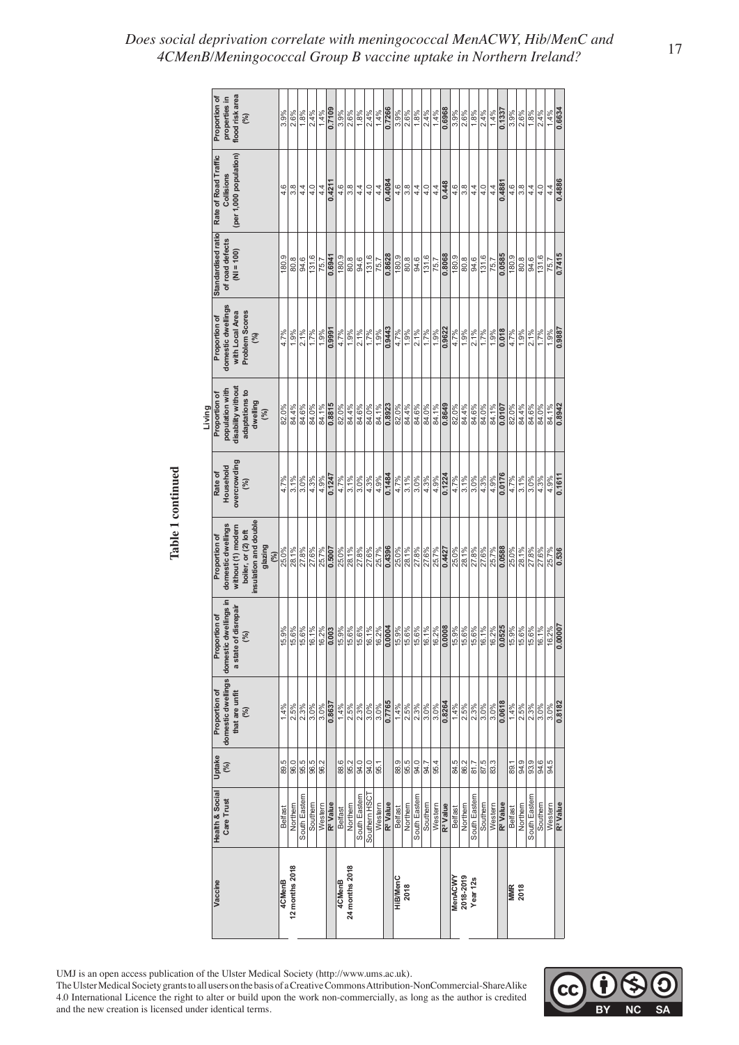|                   | flood risk area<br>Proportion of<br>properties in<br>(%)                                                                    | 3.9%    | 2.6%             | 1.8%          | 2.4%         | 1.4%    | 0.7109               | 3.9%<br>2.6%                  | 1.8%          | $\frac{9}{6}$     | 1.4%    | 0.7266               | 3.9%           | $2.6\%$             | 1.8%          | 2.4%                  | 1.4%    | 0.6968               | 3.9%           | 2.6%      | 1.8%                | 2.4%     | 1.4%    | 0.1337               | 3.9%               | 2.6%                                | 1.8%          | 2.4%<br>1.4%   |                                 |
|-------------------|-----------------------------------------------------------------------------------------------------------------------------|---------|------------------|---------------|--------------|---------|----------------------|-------------------------------|---------------|-------------------|---------|----------------------|----------------|---------------------|---------------|-----------------------|---------|----------------------|----------------|-----------|---------------------|----------|---------|----------------------|--------------------|-------------------------------------|---------------|----------------|---------------------------------|
|                   | (per 1,000 population)<br>Rate of Road Traffic<br>Collisions                                                                | 4.6     | $3.\overline{8}$ | 4.4           | 4.0          | 4.4     | 0.4211               | 4.6<br>$\frac{8}{3}$          | 4.4           | 4.0               | 4.4     | 0.4084               | 4.6            | 3.8                 | 4.4           | 4.0                   | 4.4     | 0.448                | 4.6            | 3.8       | 4.4                 | 4.0      | 4.4     | 0.4881               | 4.6                | 3.8                                 | 4.4           | 4.0<br>4.4     |                                 |
|                   | Standardised ratio<br>of road defects<br>$(M = 100)$                                                                        | 180.9   | 80.8             | 94.6          | 131.6        | 75.7    | 0.6941               | 180.9<br>$\frac{8}{80}$       | 94.6          | 131.6             | 75.7    | 0.8628               | 180.9          | $\frac{80.8}{94.6}$ |               | 131.6                 | 75.7    | 0.8068               | 180.9          | 80.8      | 94.6                | 131.6    | 75.7    | 0.0585               | 180.9              | 80.8                                | 94.6          | 131.6<br>75.7  | 0.7415                          |
|                   | domestic dwellings<br>with Local Area<br>Problem Scores<br>Proportion of<br>(%)                                             | 4.7%    | 1.9%             | 2.1%          | 1.7%         | 1.9%    | 0.9991               | 1.9%<br>4.7%                  | 2.1%          | $\frac{9}{1.7\%}$ | 1.9%    | 0.9443               | 4.7%           | 1.9%                | 2.1%          | 1.7%                  | 1.9%    | 0.9622               | 4.7%           | 1.9%      | 2.1%                | 1.7%     | 1.9%    | $\frac{810}{0.018}$  | 4.7%               | 1.9%                                | 2.1%          | 1.7%<br>1.9%   | 0.9887                          |
| Living            | disability without<br>population with<br>adaptations to<br>Proportion of<br>dwelling<br>(%)                                 | 82.0%   | 84.4%            | 84.6%         | 84.0%        | 84.1%   | 0.8815               | 84.4%<br>82.0%                | 84.6%         | 84.0%             | 84.1%   | 0.8923               | 82.0%          | 84.4%               | 84.6%         | 84.0%                 | 84.1%   | 0.8649               | 82.0%          | 84.4%     | 84.6%               | 84.0%    | 84.1%   | 0.0107               | 82.0%              | 84.4%                               | 84.6%         | 84.0%<br>84.1% | 0.8942                          |
| Table 1 continued | overcrowding<br>Household<br>Rate of<br>(%)                                                                                 | 4.7%    | 3.1%             | 3.0%          | 4.3%         | 4.9%    | 0.1247               | 4.7%<br>$\frac{3.1\%}{2.1\%}$ | 3.0%          | 4.3%              | 4.9%    | 0.1484               | 4.7%           | $3.1\%$             | 3.0%          | $\frac{4.3\%}{4.9\%}$ |         | 0.1224               | 4.7%           | 3.1%      | 3.0%                | 4.3%     | 4.9%    | 0.0176               | 4.7%               | 3.1%                                | 3.0%          | 4.3%<br>4.9%   | 0.1611                          |
|                   | insulation and double<br>domestic dwellings<br>without (1) modern<br>boiler, or (2) loft<br>Proportion of<br>glazing<br>(%) | 25.0%   | 28.1%            | 27.8%         | 27.6%        | 25.7%   | 0.5007               | 25.0%<br>28.1%                | 27.8%         | 27.6%             | 25.7%   | 0.4396               | 25.0%          | 28.1%               | 27.8%         | 27.6%                 | 25.7%   | 0.4427               | 25.0%          | 28.1%     | 27.8%               | 27.6%    | 25.7%   | 0.0588               | 25.0%              | 28.1%                               | 27.8%         | 27.6%<br>25.7% | 0.536                           |
|                   | domestic dwellings in<br>a state of disrepair<br>Proportion of<br>$(96)$                                                    | 15.9%   | 15.6%            | 15.6%         | 16.1%        | 16.2%   | 0.003                | 15.9%<br>15.6%                | 15.6%         | 16.1%             | 16.2%   | 0.0004               | 15.9%          | 15.6%               | 15.6%         | 16.1%                 | 16.2%   | 0.0008               | 15.9%          | 15.6%     | 15.6%               | 16.1%    | 16.2%   | 0.0525               | 15.9%              | 15.6%                               | 15.6%         | 16.1%<br>16.2% | 0.00007                         |
|                   | domestic dwellings<br>Proportion of<br>that are unfit<br>(%)                                                                | 1.4%    | 2.5%             | $2.3\%$       | 3.0%         | 3.0%    | 0.8637               | 1.4%<br>2.5%                  | 2.3%          | $3.0\%$           | 3.0%    | 0.7765               | 1.4%           | $2.5\%$             | 2.3%          | 3.0%                  | 3.0%    | 0.8264               | 1.4%           | $2.5\%$   | 2.3%                | 3.0%     | 3.0%    | 0.0618               | 1.4%               | $2.5\%$                             | 3.0%<br>2.3%  | 3.0%           | 0.8182                          |
|                   | Uptake<br>(%)                                                                                                               | 89.5    | 96.0             | 95.5          | 96.5<br>96.2 |         |                      | 88.6<br>95.2                  | 94.0          | 94.0              | 95.1    |                      | 88.9           | 95.5                | 94.0          | 94.7<br>95.4          |         |                      | 84.5<br>86.2   |           | 81.7                | 87.5     |         |                      | 89.1               | $rac{9}{3} \frac{9}{3} \frac{6}{3}$ |               | 94.5           |                                 |
|                   | Health & Social<br>Care Trust                                                                                               | Belfast | Northern         | South Eastern | Southern     | Western | R <sup>2</sup> Value | Northern<br><b>Belfast</b>    | South Eastern | Southern HSCT     | Western | R <sup>2</sup> Value | <b>Belfast</b> | Northern            | South Eastern | Southern              | Western | R <sup>2</sup> Value | <b>Belfast</b> | Northern  | South Eastern       | Southern | Western | R <sup>2</sup> Value | <b>Belfast</b>     | Northern                            | South Eastern | Southern       | Western<br>R <sup>2</sup> Value |
|                   | Vaccine                                                                                                                     | 4CMenB  | 12 months 2018   |               |              |         |                      | 24 months 2018<br>4CMenB      |               |                   |         |                      | HiB/MenC       | 2018                |               |                       |         |                      | <b>MenACWY</b> | 2018-2019 | Year <sub>12s</sub> |          |         |                      | <b>MMR</b><br>2018 |                                     |               |                |                                 |

*Does social deprivation correlate with meningococcal MenACWY, Hib/MenC and 4CMenB/Meningococcal Group B vaccine uptake in Northern Ireland?* <sup>17</sup>